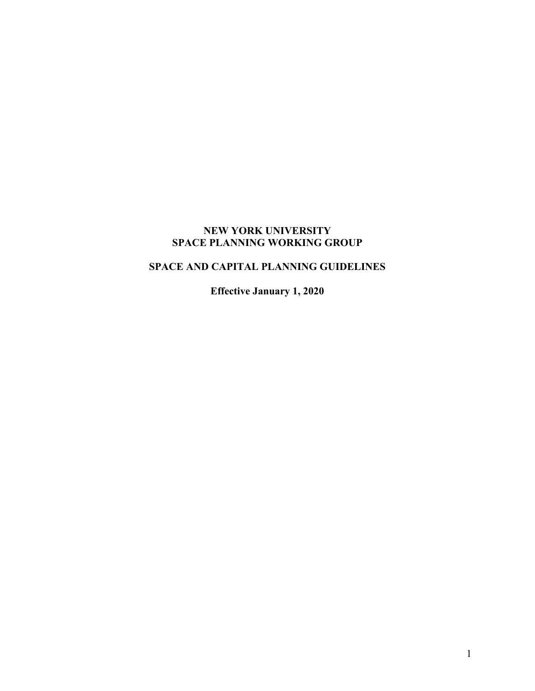# **NEW YORK UNIVERSITY SPACE PLANNING WORKING GROUP**

# **SPACE AND CAPITAL PLANNING GUIDELINES**

**Effective January 1, 2020**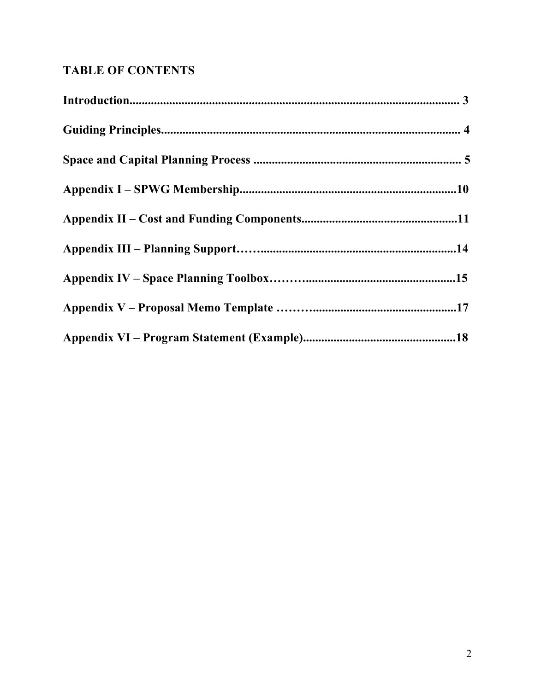# **TABLE OF CONTENTS**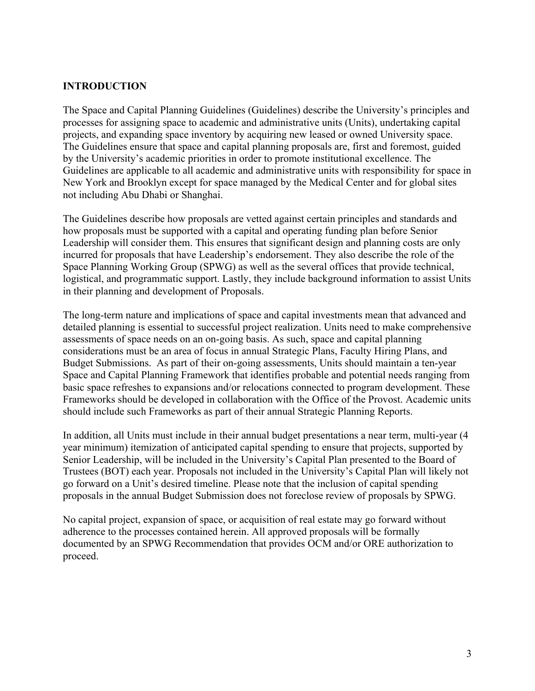# **INTRODUCTION**

The Space and Capital Planning Guidelines (Guidelines) describe the University's principles and processes for assigning space to academic and administrative units (Units), undertaking capital projects, and expanding space inventory by acquiring new leased or owned University space. The Guidelines ensure that space and capital planning proposals are, first and foremost, guided by the University's academic priorities in order to promote institutional excellence. The Guidelines are applicable to all academic and administrative units with responsibility for space in New York and Brooklyn except for space managed by the Medical Center and for global sites not including Abu Dhabi or Shanghai.

The Guidelines describe how proposals are vetted against certain principles and standards and how proposals must be supported with a capital and operating funding plan before Senior Leadership will consider them. This ensures that significant design and planning costs are only incurred for proposals that have Leadership's endorsement. They also describe the role of the Space Planning Working Group (SPWG) as well as the several offices that provide technical, logistical, and programmatic support. Lastly, they include background information to assist Units in their planning and development of Proposals.

The long-term nature and implications of space and capital investments mean that advanced and detailed planning is essential to successful project realization. Units need to make comprehensive assessments of space needs on an on-going basis. As such, space and capital planning considerations must be an area of focus in annual Strategic Plans, Faculty Hiring Plans, and Budget Submissions. As part of their on-going assessments, Units should maintain a ten-year Space and Capital Planning Framework that identifies probable and potential needs ranging from basic space refreshes to expansions and/or relocations connected to program development. These Frameworks should be developed in collaboration with the Office of the Provost. Academic units should include such Frameworks as part of their annual Strategic Planning Reports.

In addition, all Units must include in their annual budget presentations a near term, multi-year (4 year minimum) itemization of anticipated capital spending to ensure that projects, supported by Senior Leadership, will be included in the University's Capital Plan presented to the Board of Trustees (BOT) each year. Proposals not included in the University's Capital Plan will likely not go forward on a Unit's desired timeline. Please note that the inclusion of capital spending proposals in the annual Budget Submission does not foreclose review of proposals by SPWG.

No capital project, expansion of space, or acquisition of real estate may go forward without adherence to the processes contained herein. All approved proposals will be formally documented by an SPWG Recommendation that provides OCM and/or ORE authorization to proceed.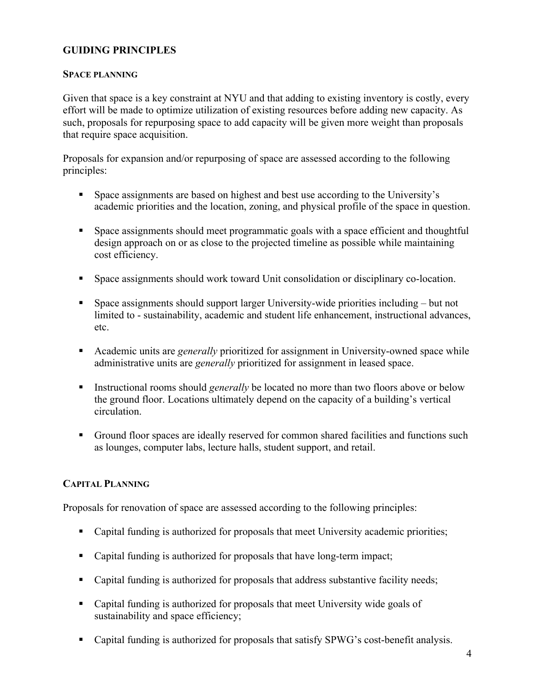# **GUIDING PRINCIPLES**

#### **SPACE PLANNING**

Given that space is a key constraint at NYU and that adding to existing inventory is costly, every effort will be made to optimize utilization of existing resources before adding new capacity. As such, proposals for repurposing space to add capacity will be given more weight than proposals that require space acquisition.

Proposals for expansion and/or repurposing of space are assessed according to the following principles:

- § Space assignments are based on highest and best use according to the University's academic priorities and the location, zoning, and physical profile of the space in question.
- Space assignments should meet programmatic goals with a space efficient and thoughtful design approach on or as close to the projected timeline as possible while maintaining cost efficiency.
- Space assignments should work toward Unit consolidation or disciplinary co-location.
- Space assignments should support larger University-wide priorities including but not limited to - sustainability, academic and student life enhancement, instructional advances, etc.
- Academic units are *generally* prioritized for assignment in University-owned space while administrative units are *generally* prioritized for assignment in leased space.
- **•** Instructional rooms should *generally* be located no more than two floors above or below the ground floor. Locations ultimately depend on the capacity of a building's vertical circulation.
- § Ground floor spaces are ideally reserved for common shared facilities and functions such as lounges, computer labs, lecture halls, student support, and retail.

#### **CAPITAL PLANNING**

Proposals for renovation of space are assessed according to the following principles:

- Capital funding is authorized for proposals that meet University academic priorities;
- Capital funding is authorized for proposals that have long-term impact;
- Capital funding is authorized for proposals that address substantive facility needs;
- Capital funding is authorized for proposals that meet University wide goals of sustainability and space efficiency;
- Capital funding is authorized for proposals that satisfy SPWG's cost-benefit analysis.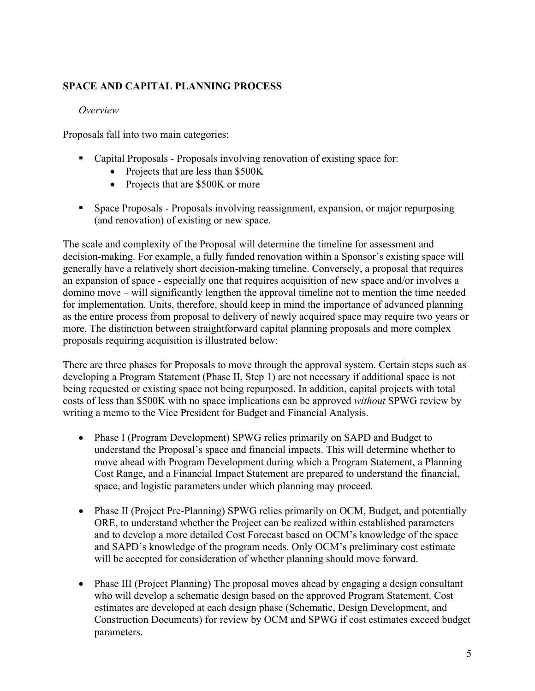# **SPACE AND CAPITAL PLANNING PROCESS**

# *Overview*

Proposals fall into two main categories:

- § Capital Proposals Proposals involving renovation of existing space for:
	- Projects that are less than \$500K
	- Projects that are \$500K or more
- § Space Proposals Proposals involving reassignment, expansion, or major repurposing (and renovation) of existing or new space.

The scale and complexity of the Proposal will determine the timeline for assessment and decision-making. For example, a fully funded renovation within a Sponsor's existing space will generally have a relatively short decision-making timeline. Conversely, a proposal that requires an expansion of space - especially one that requires acquisition of new space and/or involves a domino move – will significantly lengthen the approval timeline not to mention the time needed for implementation. Units, therefore, should keep in mind the importance of advanced planning as the entire process from proposal to delivery of newly acquired space may require two years or more. The distinction between straightforward capital planning proposals and more complex proposals requiring acquisition is illustrated below:

There are three phases for Proposals to move through the approval system. Certain steps such as developing a Program Statement (Phase II, Step 1) are not necessary if additional space is not being requested or existing space not being repurposed. In addition, capital projects with total costs of less than \$500K with no space implications can be approved *without* SPWG review by writing a memo to the Vice President for Budget and Financial Analysis.

- Phase I (Program Development) SPWG relies primarily on SAPD and Budget to understand the Proposal's space and financial impacts. This will determine whether to move ahead with Program Development during which a Program Statement, a Planning Cost Range, and a Financial Impact Statement are prepared to understand the financial, space, and logistic parameters under which planning may proceed.
- Phase II (Project Pre-Planning) SPWG relies primarily on OCM, Budget, and potentially ORE, to understand whether the Project can be realized within established parameters and to develop a more detailed Cost Forecast based on OCM's knowledge of the space and SAPD's knowledge of the program needs. Only OCM's preliminary cost estimate will be accepted for consideration of whether planning should move forward.
- Phase III (Project Planning) The proposal moves ahead by engaging a design consultant who will develop a schematic design based on the approved Program Statement. Cost estimates are developed at each design phase (Schematic, Design Development, and Construction Documents) for review by OCM and SPWG if cost estimates exceed budget parameters.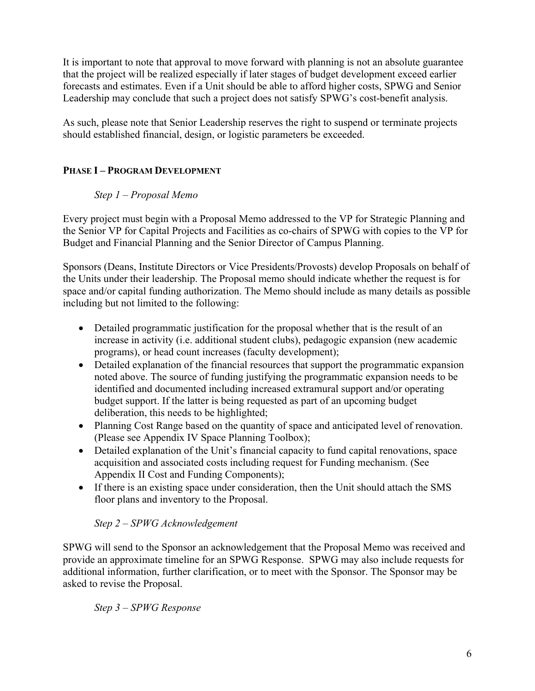It is important to note that approval to move forward with planning is not an absolute guarantee that the project will be realized especially if later stages of budget development exceed earlier forecasts and estimates. Even if a Unit should be able to afford higher costs, SPWG and Senior Leadership may conclude that such a project does not satisfy SPWG's cost-benefit analysis.

As such, please note that Senior Leadership reserves the right to suspend or terminate projects should established financial, design, or logistic parameters be exceeded.

# **PHASE I – PROGRAM DEVELOPMENT**

# *Step 1 – Proposal Memo*

Every project must begin with a Proposal Memo addressed to the VP for Strategic Planning and the Senior VP for Capital Projects and Facilities as co-chairs of SPWG with copies to the VP for Budget and Financial Planning and the Senior Director of Campus Planning.

Sponsors (Deans, Institute Directors or Vice Presidents/Provosts) develop Proposals on behalf of the Units under their leadership. The Proposal memo should indicate whether the request is for space and/or capital funding authorization. The Memo should include as many details as possible including but not limited to the following:

- Detailed programmatic justification for the proposal whether that is the result of an increase in activity (i.e. additional student clubs), pedagogic expansion (new academic programs), or head count increases (faculty development);
- Detailed explanation of the financial resources that support the programmatic expansion noted above. The source of funding justifying the programmatic expansion needs to be identified and documented including increased extramural support and/or operating budget support. If the latter is being requested as part of an upcoming budget deliberation, this needs to be highlighted;
- Planning Cost Range based on the quantity of space and anticipated level of renovation. (Please see Appendix IV Space Planning Toolbox);
- Detailed explanation of the Unit's financial capacity to fund capital renovations, space acquisition and associated costs including request for Funding mechanism. (See Appendix II Cost and Funding Components);
- If there is an existing space under consideration, then the Unit should attach the SMS floor plans and inventory to the Proposal.

# *Step 2 – SPWG Acknowledgement*

SPWG will send to the Sponsor an acknowledgement that the Proposal Memo was received and provide an approximate timeline for an SPWG Response. SPWG may also include requests for additional information, further clarification, or to meet with the Sponsor. The Sponsor may be asked to revise the Proposal.

*Step 3 – SPWG Response*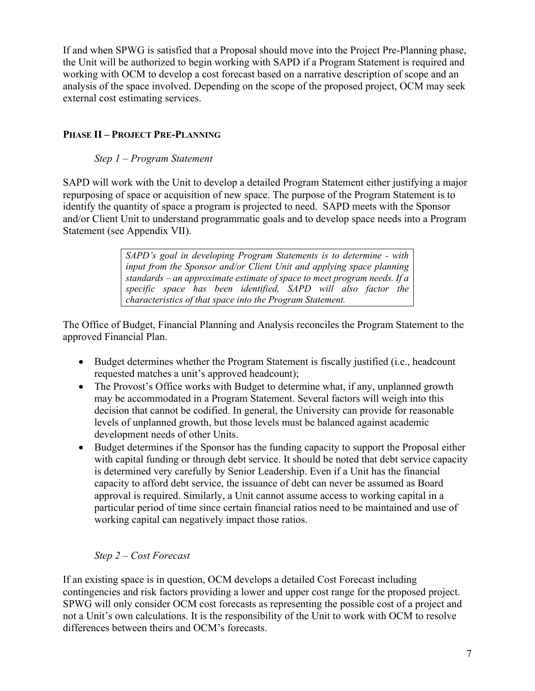If and when SPWG is satisfied that a Proposal should move into the Project Pre-Planning phase, the Unit will be authorized to begin working with SAPD if a Program Statement is required and working with OCM to develop a cost forecast based on a narrative description of scope and an analysis of the space involved. Depending on the scope of the proposed project, OCM may seek external cost estimating services.

# **PHASE II – PROJECT PRE-PLANNING**

# *Step 1 – Program Statement*

SAPD will work with the Unit to develop a detailed Program Statement either justifying a major repurposing of space or acquisition of new space. The purpose of the Program Statement is to identify the quantity of space a program is projected to need. SAPD meets with the Sponsor and/or Client Unit to understand programmatic goals and to develop space needs into a Program Statement (see Appendix VII).

> *SAPD's goal in developing Program Statements is to determine - with input from the Sponsor and/or Client Unit and applying space planning standards – an approximate estimate of space to meet program needs. If a specific space has been identified, SAPD will also factor the characteristics of that space into the Program Statement.*

The Office of Budget, Financial Planning and Analysis reconciles the Program Statement to the approved Financial Plan.

- Budget determines whether the Program Statement is fiscally justified (*i.e.*, headcount requested matches a unit's approved headcount);
- The Provost's Office works with Budget to determine what, if any, unplanned growth may be accommodated in a Program Statement. Several factors will weigh into this decision that cannot be codified. In general, the University can provide for reasonable levels of unplanned growth, but those levels must be balanced against academic development needs of other Units.
- Budget determines if the Sponsor has the funding capacity to support the Proposal either with capital funding or through debt service. It should be noted that debt service capacity is determined very carefully by Senior Leadership. Even if a Unit has the financial capacity to afford debt service, the issuance of debt can never be assumed as Board approval is required. Similarly, a Unit cannot assume access to working capital in a particular period of time since certain financial ratios need to be maintained and use of working capital can negatively impact those ratios.

# *Step 2 – Cost Forecast*

If an existing space is in question, OCM develops a detailed Cost Forecast including contingencies and risk factors providing a lower and upper cost range for the proposed project. SPWG will only consider OCM cost forecasts as representing the possible cost of a project and not a Unit's own calculations. It is the responsibility of the Unit to work with OCM to resolve differences between theirs and OCM's forecasts.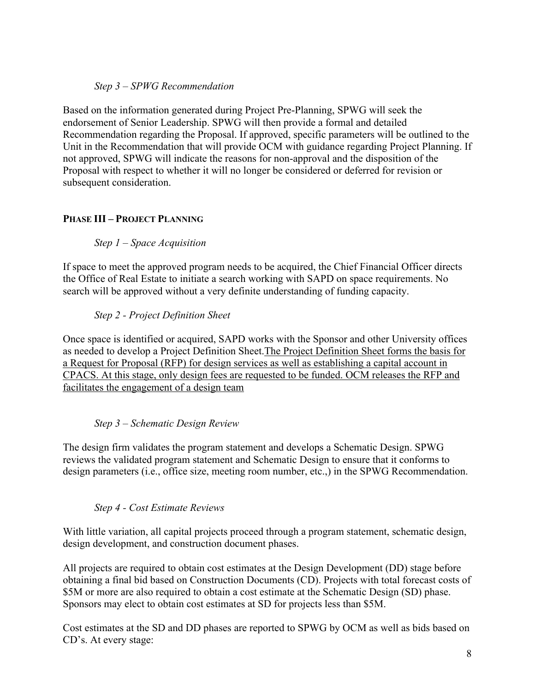# *Step 3 – SPWG Recommendation*

Based on the information generated during Project Pre-Planning, SPWG will seek the endorsement of Senior Leadership. SPWG will then provide a formal and detailed Recommendation regarding the Proposal. If approved, specific parameters will be outlined to the Unit in the Recommendation that will provide OCM with guidance regarding Project Planning. If not approved, SPWG will indicate the reasons for non-approval and the disposition of the Proposal with respect to whether it will no longer be considered or deferred for revision or subsequent consideration.

# **PHASE III – PROJECT PLANNING**

# *Step 1 – Space Acquisition*

If space to meet the approved program needs to be acquired, the Chief Financial Officer directs the Office of Real Estate to initiate a search working with SAPD on space requirements. No search will be approved without a very definite understanding of funding capacity.

# *Step 2 - Project Definition Sheet*

Once space is identified or acquired, SAPD works with the Sponsor and other University offices as needed to develop a Project Definition Sheet.The Project Definition Sheet forms the basis for a Request for Proposal (RFP) for design services as well as establishing a capital account in CPACS. At this stage, only design fees are requested to be funded. OCM releases the RFP and facilitates the engagement of a design team

# *Step 3 – Schematic Design Review*

The design firm validates the program statement and develops a Schematic Design. SPWG reviews the validated program statement and Schematic Design to ensure that it conforms to design parameters (i.e., office size, meeting room number, etc.,) in the SPWG Recommendation.

# *Step 4 - Cost Estimate Reviews*

With little variation, all capital projects proceed through a program statement, schematic design, design development, and construction document phases.

All projects are required to obtain cost estimates at the Design Development (DD) stage before obtaining a final bid based on Construction Documents (CD). Projects with total forecast costs of \$5M or more are also required to obtain a cost estimate at the Schematic Design (SD) phase. Sponsors may elect to obtain cost estimates at SD for projects less than \$5M.

Cost estimates at the SD and DD phases are reported to SPWG by OCM as well as bids based on CD's. At every stage: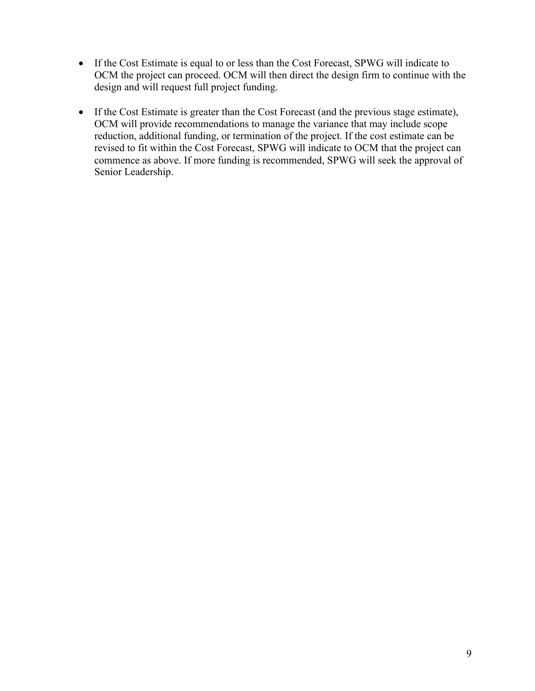- If the Cost Estimate is equal to or less than the Cost Forecast, SPWG will indicate to OCM the project can proceed. OCM will then direct the design firm to continue with the design and will request full project funding.
- If the Cost Estimate is greater than the Cost Forecast (and the previous stage estimate), OCM will provide recommendations to manage the variance that may include scope reduction, additional funding, or termination of the project. If the cost estimate can be revised to fit within the Cost Forecast, SPWG will indicate to OCM that the project can commence as above. If more funding is recommended, SPWG will seek the approval of Senior Leadership.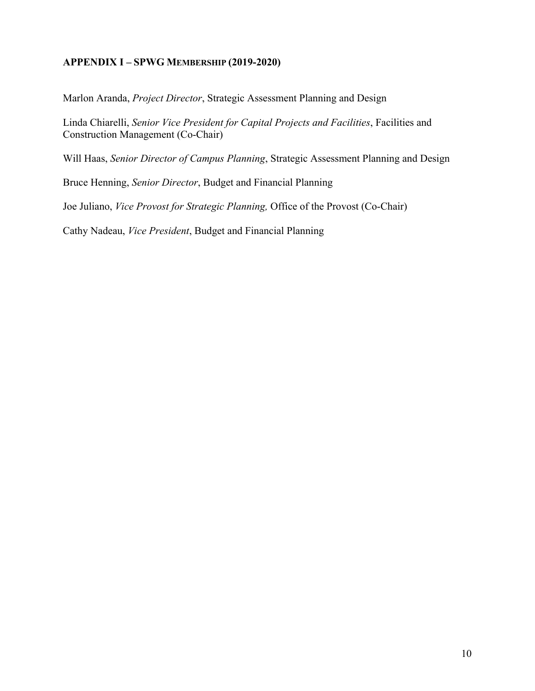# **APPENDIX I – SPWG MEMBERSHIP (2019-2020)**

Marlon Aranda, *Project Director*, Strategic Assessment Planning and Design

Linda Chiarelli, *Senior Vice President for Capital Projects and Facilities*, Facilities and Construction Management (Co-Chair)

Will Haas, *Senior Director of Campus Planning*, Strategic Assessment Planning and Design

Bruce Henning, *Senior Director*, Budget and Financial Planning

Joe Juliano, *Vice Provost for Strategic Planning,* Office of the Provost (Co-Chair)

Cathy Nadeau, *Vice President*, Budget and Financial Planning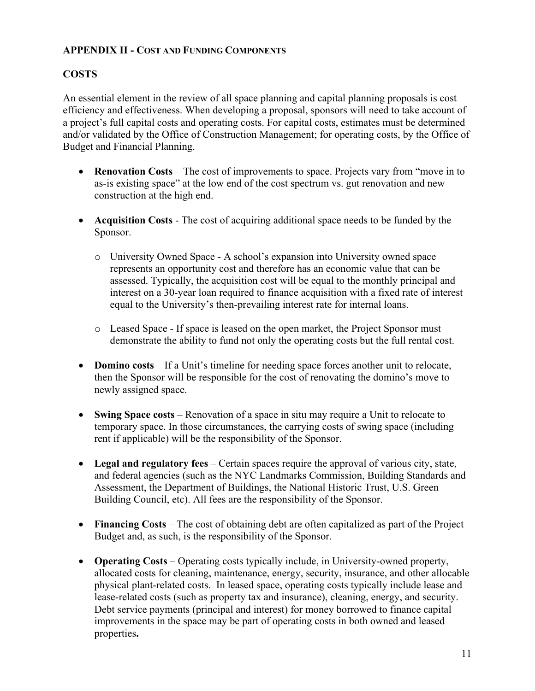# **APPENDIX II - COST AND FUNDING COMPONENTS**

# **COSTS**

An essential element in the review of all space planning and capital planning proposals is cost efficiency and effectiveness. When developing a proposal, sponsors will need to take account of a project's full capital costs and operating costs. For capital costs, estimates must be determined and/or validated by the Office of Construction Management; for operating costs, by the Office of Budget and Financial Planning.

- **Renovation Costs** The cost of improvements to space. Projects vary from "move in to as-is existing space" at the low end of the cost spectrum vs. gut renovation and new construction at the high end.
- **Acquisition Costs** The cost of acquiring additional space needs to be funded by the Sponsor.
	- o University Owned Space A school's expansion into University owned space represents an opportunity cost and therefore has an economic value that can be assessed. Typically, the acquisition cost will be equal to the monthly principal and interest on a 30-year loan required to finance acquisition with a fixed rate of interest equal to the University's then-prevailing interest rate for internal loans.
	- o Leased Space If space is leased on the open market, the Project Sponsor must demonstrate the ability to fund not only the operating costs but the full rental cost.
- **Domino costs** If a Unit's timeline for needing space forces another unit to relocate, then the Sponsor will be responsible for the cost of renovating the domino's move to newly assigned space.
- **Swing Space costs** Renovation of a space in situ may require a Unit to relocate to temporary space. In those circumstances, the carrying costs of swing space (including rent if applicable) will be the responsibility of the Sponsor.
- **Legal and regulatory fees** Certain spaces require the approval of various city, state, and federal agencies (such as the NYC Landmarks Commission, Building Standards and Assessment, the Department of Buildings, the National Historic Trust, U.S. Green Building Council, etc). All fees are the responsibility of the Sponsor.
- **Financing Costs** The cost of obtaining debt are often capitalized as part of the Project Budget and, as such, is the responsibility of the Sponsor.
- **Operating Costs** Operating costs typically include, in University-owned property, allocated costs for cleaning, maintenance, energy, security, insurance, and other allocable physical plant-related costs. In leased space, operating costs typically include lease and lease-related costs (such as property tax and insurance), cleaning, energy, and security. Debt service payments (principal and interest) for money borrowed to finance capital improvements in the space may be part of operating costs in both owned and leased properties**.**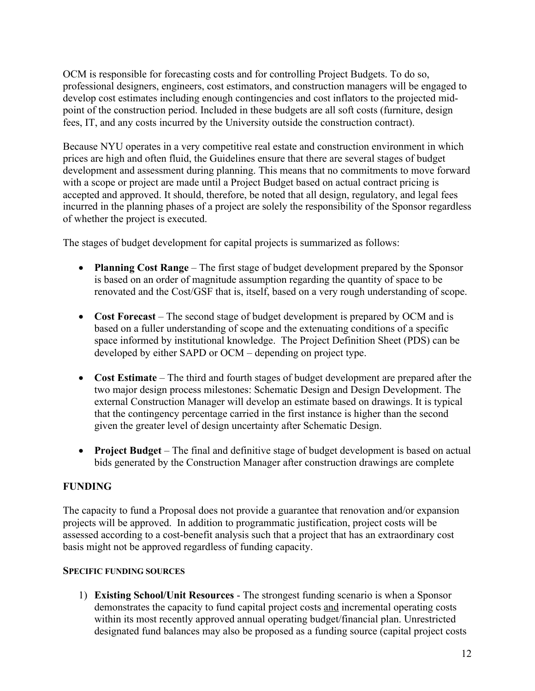OCM is responsible for forecasting costs and for controlling Project Budgets. To do so, professional designers, engineers, cost estimators, and construction managers will be engaged to develop cost estimates including enough contingencies and cost inflators to the projected midpoint of the construction period. Included in these budgets are all soft costs (furniture, design fees, IT, and any costs incurred by the University outside the construction contract).

Because NYU operates in a very competitive real estate and construction environment in which prices are high and often fluid, the Guidelines ensure that there are several stages of budget development and assessment during planning. This means that no commitments to move forward with a scope or project are made until a Project Budget based on actual contract pricing is accepted and approved. It should, therefore, be noted that all design, regulatory, and legal fees incurred in the planning phases of a project are solely the responsibility of the Sponsor regardless of whether the project is executed.

The stages of budget development for capital projects is summarized as follows:

- **Planning Cost Range** The first stage of budget development prepared by the Sponsor is based on an order of magnitude assumption regarding the quantity of space to be renovated and the Cost/GSF that is, itself, based on a very rough understanding of scope.
- **Cost Forecast** The second stage of budget development is prepared by OCM and is based on a fuller understanding of scope and the extenuating conditions of a specific space informed by institutional knowledge. The Project Definition Sheet (PDS) can be developed by either SAPD or OCM – depending on project type.
- **Cost Estimate** The third and fourth stages of budget development are prepared after the two major design process milestones: Schematic Design and Design Development. The external Construction Manager will develop an estimate based on drawings. It is typical that the contingency percentage carried in the first instance is higher than the second given the greater level of design uncertainty after Schematic Design.
- **Project Budget** The final and definitive stage of budget development is based on actual bids generated by the Construction Manager after construction drawings are complete

# **FUNDING**

The capacity to fund a Proposal does not provide a guarantee that renovation and/or expansion projects will be approved. In addition to programmatic justification, project costs will be assessed according to a cost-benefit analysis such that a project that has an extraordinary cost basis might not be approved regardless of funding capacity.

# **SPECIFIC FUNDING SOURCES**

1) **Existing School/Unit Resources** - The strongest funding scenario is when a Sponsor demonstrates the capacity to fund capital project costs and incremental operating costs within its most recently approved annual operating budget/financial plan. Unrestricted designated fund balances may also be proposed as a funding source (capital project costs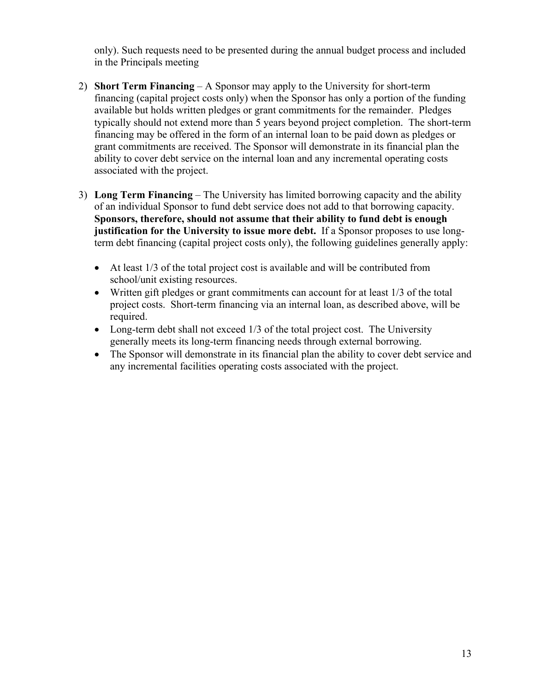only). Such requests need to be presented during the annual budget process and included in the Principals meeting

- 2) **Short Term Financing** A Sponsor may apply to the University for short-term financing (capital project costs only) when the Sponsor has only a portion of the funding available but holds written pledges or grant commitments for the remainder. Pledges typically should not extend more than 5 years beyond project completion. The short-term financing may be offered in the form of an internal loan to be paid down as pledges or grant commitments are received. The Sponsor will demonstrate in its financial plan the ability to cover debt service on the internal loan and any incremental operating costs associated with the project.
- 3) **Long Term Financing** The University has limited borrowing capacity and the ability of an individual Sponsor to fund debt service does not add to that borrowing capacity. **Sponsors, therefore, should not assume that their ability to fund debt is enough justification for the University to issue more debt.** If a Sponsor proposes to use longterm debt financing (capital project costs only), the following guidelines generally apply:
	- At least 1/3 of the total project cost is available and will be contributed from school/unit existing resources.
	- Written gift pledges or grant commitments can account for at least 1/3 of the total project costs. Short-term financing via an internal loan, as described above, will be required.
	- Long-term debt shall not exceed 1/3 of the total project cost. The University generally meets its long-term financing needs through external borrowing.
	- The Sponsor will demonstrate in its financial plan the ability to cover debt service and any incremental facilities operating costs associated with the project.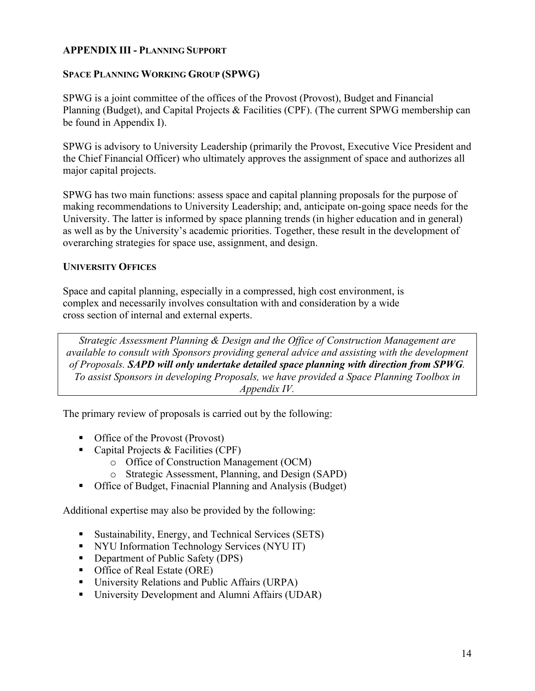# **APPENDIX III - PLANNING SUPPORT**

### **SPACE PLANNING WORKING GROUP (SPWG)**

SPWG is a joint committee of the offices of the Provost (Provost), Budget and Financial Planning (Budget), and Capital Projects & Facilities (CPF). (The current SPWG membership can be found in Appendix I).

SPWG is advisory to University Leadership (primarily the Provost, Executive Vice President and the Chief Financial Officer) who ultimately approves the assignment of space and authorizes all major capital projects.

SPWG has two main functions: assess space and capital planning proposals for the purpose of making recommendations to University Leadership; and, anticipate on-going space needs for the University. The latter is informed by space planning trends (in higher education and in general) as well as by the University's academic priorities. Together, these result in the development of overarching strategies for space use, assignment, and design.

#### **UNIVERSITY OFFICES**

Space and capital planning, especially in a compressed, high cost environment, is complex and necessarily involves consultation with and consideration by a wide cross section of internal and external experts.

*Strategic Assessment Planning & Design and the Office of Construction Management are available to consult with Sponsors providing general advice and assisting with the development of Proposals. SAPD will only undertake detailed space planning with direction from SPWG. To assist Sponsors in developing Proposals, we have provided a Space Planning Toolbox in Appendix IV.*

The primary review of proposals is carried out by the following:

- Office of the Provost (Provost)
- Capital Projects & Facilities (CPF)
	- o Office of Construction Management (OCM)
	- o Strategic Assessment, Planning, and Design (SAPD)
- Office of Budget, Finacnial Planning and Analysis (Budget)

Additional expertise may also be provided by the following:

- Sustainability, Energy, and Technical Services (SETS)
- NYU Information Technology Services (NYU IT)
- Department of Public Safety (DPS)
- Office of Real Estate (ORE)
- University Relations and Public Affairs (URPA)
- University Development and Alumni Affairs (UDAR)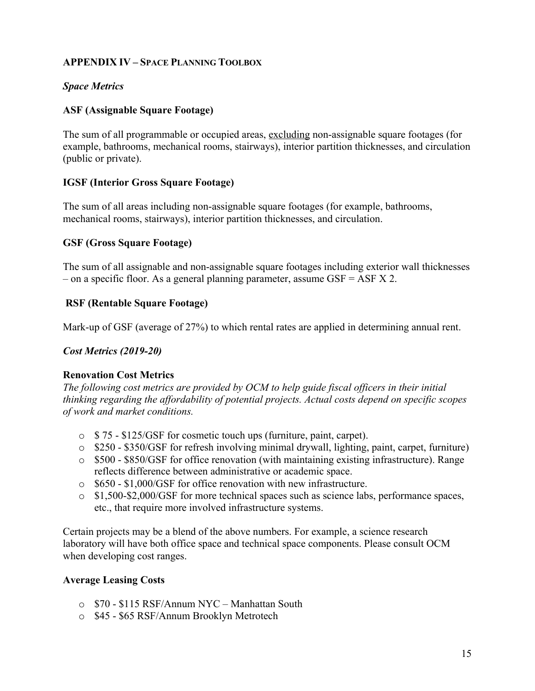# **APPENDIX IV – SPACE PLANNING TOOLBOX**

# *Space Metrics*

# **ASF (Assignable Square Footage)**

The sum of all programmable or occupied areas, excluding non-assignable square footages (for example, bathrooms, mechanical rooms, stairways), interior partition thicknesses, and circulation (public or private).

# **IGSF (Interior Gross Square Footage)**

The sum of all areas including non-assignable square footages (for example, bathrooms, mechanical rooms, stairways), interior partition thicknesses, and circulation.

# **GSF (Gross Square Footage)**

The sum of all assignable and non-assignable square footages including exterior wall thicknesses – on a specific floor. As a general planning parameter, assume  $GSF = ASF X 2$ .

# **RSF (Rentable Square Footage)**

Mark-up of GSF (average of 27%) to which rental rates are applied in determining annual rent.

# *Cost Metrics (2019-20)*

# **Renovation Cost Metrics**

*The following cost metrics are provided by OCM to help guide fiscal officers in their initial thinking regarding the affordability of potential projects. Actual costs depend on specific scopes of work and market conditions.* 

- o \$ 75 \$125/GSF for cosmetic touch ups (furniture, paint, carpet).
- o \$250 \$350/GSF for refresh involving minimal drywall, lighting, paint, carpet, furniture)
- o \$500 \$850/GSF for office renovation (with maintaining existing infrastructure). Range reflects difference between administrative or academic space.
- o \$650 \$1,000/GSF for office renovation with new infrastructure.
- o \$1,500-\$2,000/GSF for more technical spaces such as science labs, performance spaces, etc., that require more involved infrastructure systems.

Certain projects may be a blend of the above numbers. For example, a science research laboratory will have both office space and technical space components. Please consult OCM when developing cost ranges.

# **Average Leasing Costs**

- o \$70 \$115 RSF/Annum NYC Manhattan South
- o \$45 \$65 RSF/Annum Brooklyn Metrotech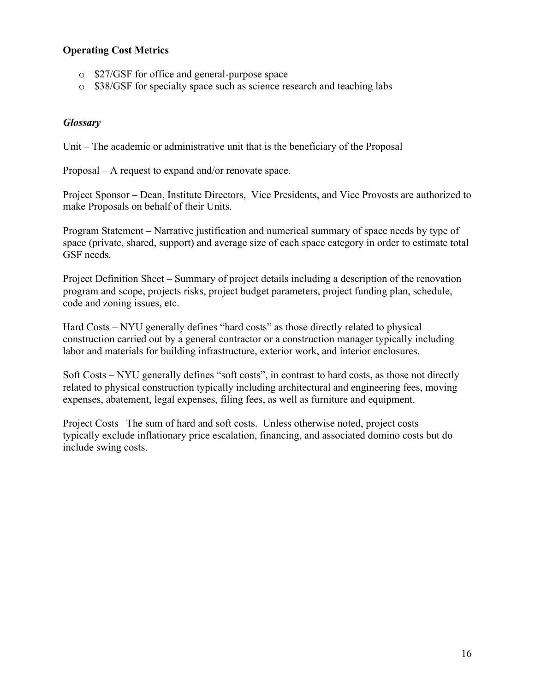# **Operating Cost Metrics**

- o \$27/GSF for office and general-purpose space
- o \$38/GSF for specialty space such as science research and teaching labs

# *Glossary*

Unit – The academic or administrative unit that is the beneficiary of the Proposal

Proposal – A request to expand and/or renovate space.

Project Sponsor – Dean, Institute Directors, Vice Presidents, and Vice Provosts are authorized to make Proposals on behalf of their Units.

Program Statement – Narrative justification and numerical summary of space needs by type of space (private, shared, support) and average size of each space category in order to estimate total GSF needs.

Project Definition Sheet – Summary of project details including a description of the renovation program and scope, projects risks, project budget parameters, project funding plan, schedule, code and zoning issues, etc.

Hard Costs – NYU generally defines "hard costs" as those directly related to physical construction carried out by a general contractor or a construction manager typically including labor and materials for building infrastructure, exterior work, and interior enclosures.

Soft Costs – NYU generally defines "soft costs", in contrast to hard costs, as those not directly related to physical construction typically including architectural and engineering fees, moving expenses, abatement, legal expenses, filing fees, as well as furniture and equipment.

Project Costs –The sum of hard and soft costs. Unless otherwise noted, project costs typically exclude inflationary price escalation, financing, and associated domino costs but do include swing costs.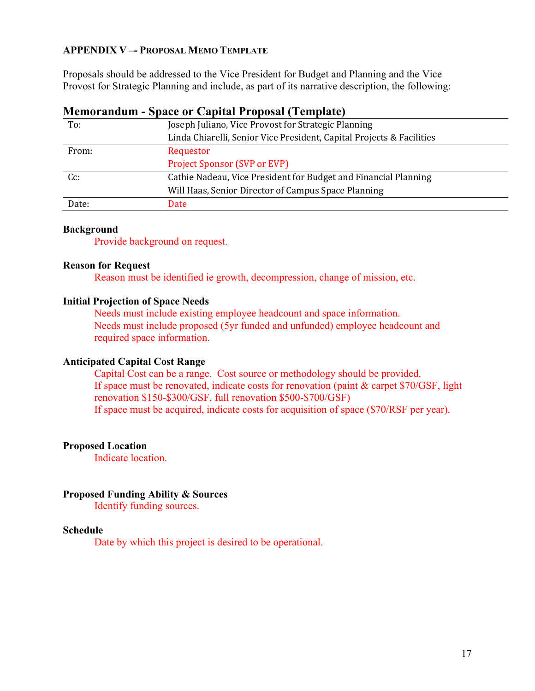# **APPENDIX V –- PROPOSAL MEMO TEMPLATE**

Proposals should be addressed to the Vice President for Budget and Planning and the Vice Provost for Strategic Planning and include, as part of its narrative description, the following:

# **Memorandum - Space or Capital Proposal (Template)**

| To:   | Joseph Juliano, Vice Provost for Strategic Planning                   |  |  |  |  |  |  |  |
|-------|-----------------------------------------------------------------------|--|--|--|--|--|--|--|
|       | Linda Chiarelli, Senior Vice President, Capital Projects & Facilities |  |  |  |  |  |  |  |
| From: | Requestor                                                             |  |  |  |  |  |  |  |
|       | <b>Project Sponsor (SVP or EVP)</b>                                   |  |  |  |  |  |  |  |
| Cc:   | Cathie Nadeau, Vice President for Budget and Financial Planning       |  |  |  |  |  |  |  |
|       | Will Haas, Senior Director of Campus Space Planning                   |  |  |  |  |  |  |  |
| Date: | Date                                                                  |  |  |  |  |  |  |  |

#### **Background**

Provide background on request.

#### **Reason for Request**

Reason must be identified ie growth, decompression, change of mission, etc.

#### **Initial Projection of Space Needs**

Needs must include existing employee headcount and space information. Needs must include proposed (5yr funded and unfunded) employee headcount and required space information.

#### **Anticipated Capital Cost Range**

Capital Cost can be a range. Cost source or methodology should be provided. If space must be renovated, indicate costs for renovation (paint & carpet \$70/GSF, light renovation \$150-\$300/GSF, full renovation \$500-\$700/GSF) If space must be acquired, indicate costs for acquisition of space (\$70/RSF per year).

#### **Proposed Location**

Indicate location.

#### **Proposed Funding Ability & Sources**

Identify funding sources.

#### **Schedule**

Date by which this project is desired to be operational.